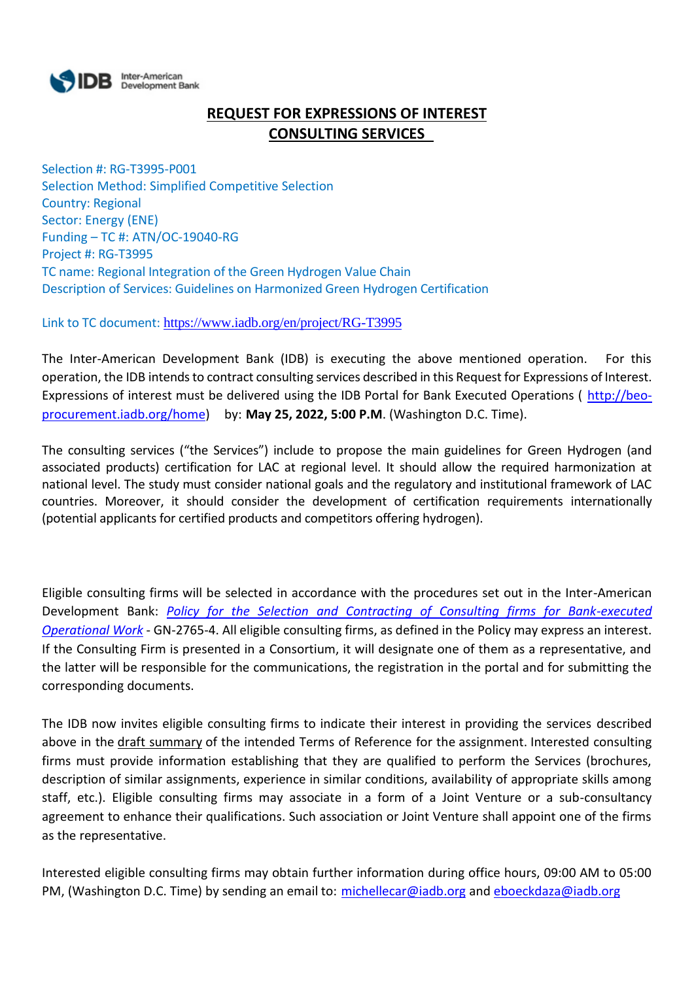

# **REQUEST FOR EXPRESSIONS OF INTEREST CONSULTING SERVICES**

Selection #: RG-T3995-P001 Selection Method: Simplified Competitive Selection Country: Regional Sector: Energy (ENE) Funding – TC #: ATN/OC-19040-RG Project #: RG-T3995 TC name: Regional Integration of the Green Hydrogen Value Chain Description of Services: Guidelines on Harmonized Green Hydrogen Certification

Link to TC document: <https://www.iadb.org/en/project/RG-T3995>

The Inter-American Development Bank (IDB) is executing the above mentioned operation. For this operation, the IDB intends to contract consulting services described in this Request for Expressions of Interest. Expressions of interest must be delivered using the IDB Portal for Bank Executed Operations ( [http://beo](http://beo-procurement.iadb.org/home)[procurement.iadb.org/home\)](http://beo-procurement.iadb.org/home) by: **May 25, 2022, 5:00 P.M**. (Washington D.C. Time).

The consulting services ("the Services") include to propose the main guidelines for Green Hydrogen (and associated products) certification for LAC at regional level. It should allow the required harmonization at national level. The study must consider national goals and the regulatory and institutional framework of LAC countries. Moreover, it should consider the development of certification requirements internationally (potential applicants for certified products and competitors offering hydrogen).

Eligible consulting firms will be selected in accordance with the procedures set out in the Inter-American Development Bank: *[Policy for the Selection and Contracting of Consulting firms for Bank-executed](http://idbdocs.iadb.org/wsdocs/getdocument.aspx?DOCNUM=38988574)  [Operational Work](http://idbdocs.iadb.org/wsdocs/getdocument.aspx?DOCNUM=38988574)* - GN-2765-4. All eligible consulting firms, as defined in the Policy may express an interest. If the Consulting Firm is presented in a Consortium, it will designate one of them as a representative, and the latter will be responsible for the communications, the registration in the portal and for submitting the corresponding documents.

The IDB now invites eligible consulting firms to indicate their interest in providing the services described above in the draft summary of the intended Terms of Reference for the assignment. Interested consulting firms must provide information establishing that they are qualified to perform the Services (brochures, description of similar assignments, experience in similar conditions, availability of appropriate skills among staff, etc.). Eligible consulting firms may associate in a form of a Joint Venture or a sub-consultancy agreement to enhance their qualifications. Such association or Joint Venture shall appoint one of the firms as the representative.

Interested eligible consulting firms may obtain further information during office hours, 09:00 AM to 05:00 PM, (Washington D.C. Time) by sending an email to: [michellecar@iadb.org](mailto:michellecar@iadb.org) an[d eboeckdaza@iadb.org](mailto:eboeckdaza@iadb.org)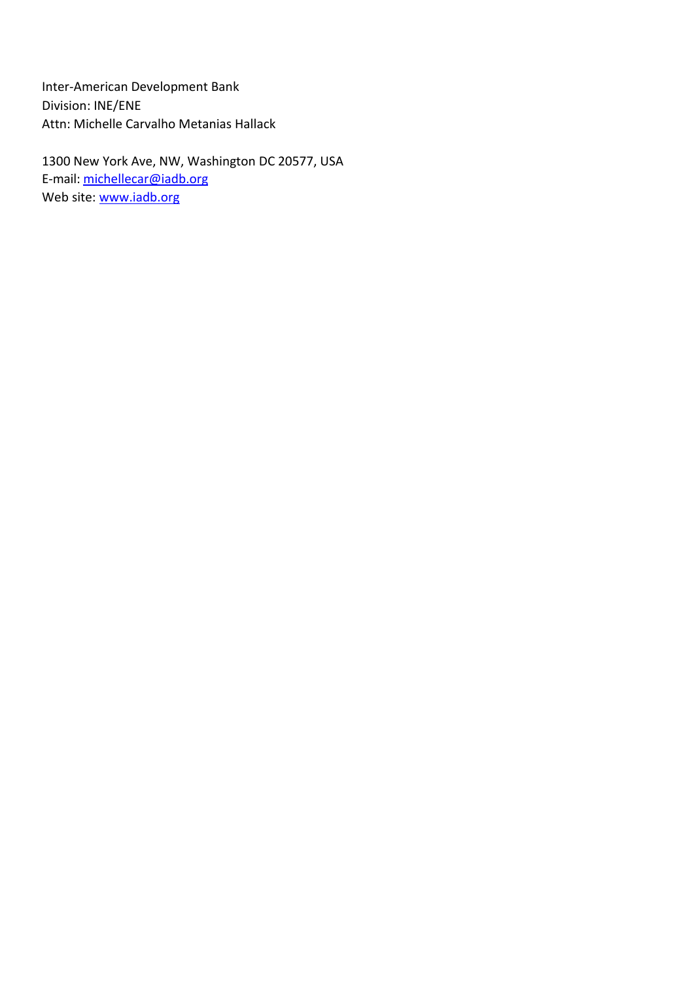Inter-American Development Bank Division: INE/ENE Attn: Michelle Carvalho Metanias Hallack

1300 New York Ave, NW, Washington DC 20577, USA E-mail: [michellecar@iadb.org](mailto:michellecar@iadb.org) Web site: [www.iadb.org](http://www.iadb.org/)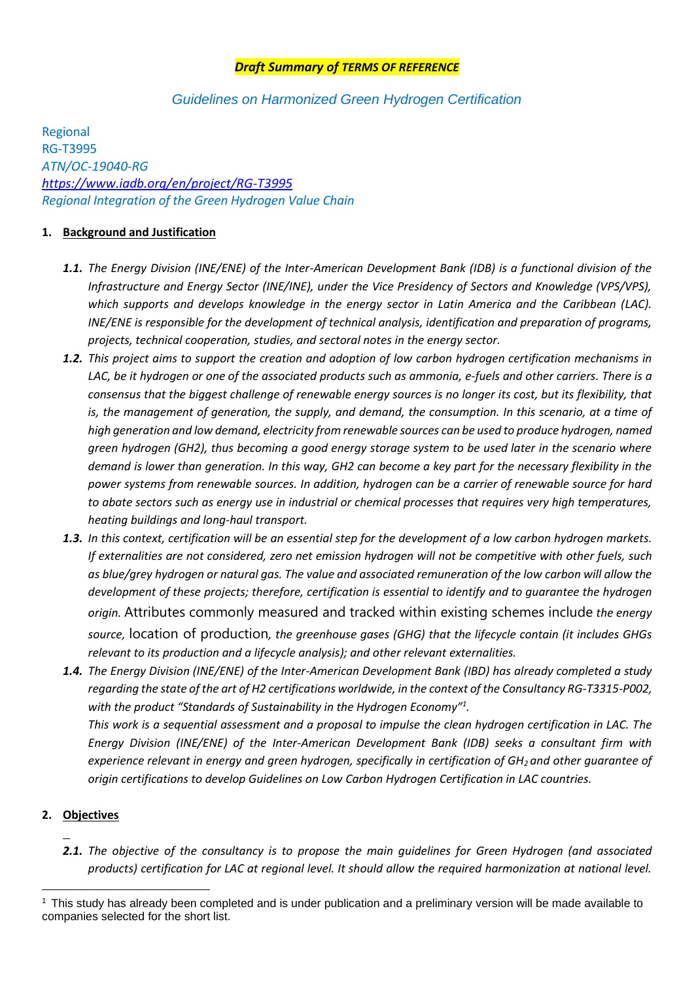## *Draft Summary of TERMS OF REFERENCE*

# *Guidelines on Harmonized Green Hydrogen Certification*

Regional RG-T3995 *ATN/OC-19040-RG <https://www.iadb.org/en/project/RG-T3995> Regional Integration of the Green Hydrogen Value Chain*

#### **1. Background and Justification**

- *1.1. The Energy Division (INE/ENE) of the Inter-American Development Bank (IDB) is a functional division of the Infrastructure and Energy Sector (INE/INE), under the Vice Presidency of Sectors and Knowledge (VPS/VPS), which supports and develops knowledge in the energy sector in Latin America and the Caribbean (LAC). INE/ENE is responsible for the development of technical analysis, identification and preparation of programs, projects, technical cooperation, studies, and sectoral notes in the energy sector.*
- *1.2. This project aims to support the creation and adoption of low carbon hydrogen certification mechanisms in LAC, be it hydrogen or one of the associated products such as ammonia, e-fuels and other carriers. There is a consensus that the biggest challenge of renewable energy sources is no longer its cost, but its flexibility, that is, the management of generation, the supply, and demand, the consumption. In this scenario, at a time of high generation and low demand, electricity from renewable sources can be used to produce hydrogen, named green hydrogen (GH2), thus becoming a good energy storage system to be used later in the scenario where demand is lower than generation. In this way, GH2 can become a key part for the necessary flexibility in the power systems from renewable sources. In addition, hydrogen can be a carrier of renewable source for hard to abate sectors such as energy use in industrial or chemical processes that requires very high temperatures, heating buildings and long-haul transport.*
- *1.3. In this context, certification will be an essential step for the development of a low carbon hydrogen markets. If externalities are not considered, zero net emission hydrogen will not be competitive with other fuels, such as blue/grey hydrogen or natural gas. The value and associated remuneration of the low carbon will allow the development of these projects; therefore, certification is essential to identify and to guarantee the hydrogen origin.* Attributes commonly measured and tracked within existing schemes include *the energy source,* location of production*, the greenhouse gases (GHG) that the lifecycle contain (it includes GHGs relevant to its production and a lifecycle analysis); and other relevant externalities.*
- *1.4. The Energy Division (INE/ENE) of the Inter-American Development Bank (IBD) has already completed a study regarding the state of the art of H2 certifications worldwide, in the context of the Consultancy RG-T3315-P002, with the product "Standards of Sustainability in the Hydrogen Economy"<sup>1</sup> . This work is a sequential assessment and a proposal to impulse the clean hydrogen certification in LAC. The Energy Division (INE/ENE) of the Inter-American Development Bank (IDB) seeks a consultant firm with experience relevant in energy and green hydrogen, specifically in certification of GH2 and other guarantee of origin certifications to develop Guidelines on Low Carbon Hydrogen Certification in LAC countries.*

## **2. Objectives**

*2.1. The objective of the consultancy is to propose the main guidelines for Green Hydrogen (and associated products) certification for LAC at regional level. It should allow the required harmonization at national level.* 

<sup>1</sup> This study has already been completed and is under publication and a preliminary version will be made available to companies selected for the short list.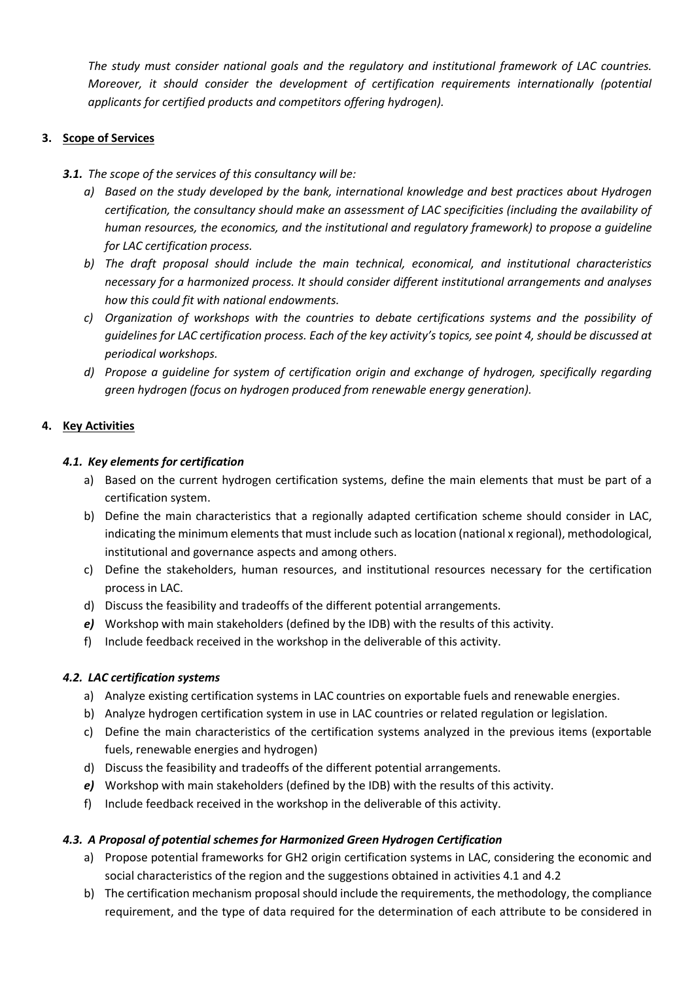*The study must consider national goals and the regulatory and institutional framework of LAC countries. Moreover, it should consider the development of certification requirements internationally (potential applicants for certified products and competitors offering hydrogen).*

## **3. Scope of Services**

*3.1. The scope of the services of this consultancy will be:*

- *a) Based on the study developed by the bank, international knowledge and best practices about Hydrogen certification, the consultancy should make an assessment of LAC specificities (including the availability of human resources, the economics, and the institutional and regulatory framework) to propose a guideline for LAC certification process.*
- *b) The draft proposal should include the main technical, economical, and institutional characteristics necessary for a harmonized process. It should consider different institutional arrangements and analyses how this could fit with national endowments.*
- *c) Organization of workshops with the countries to debate certifications systems and the possibility of guidelines for LAC certification process. Each of the key activity's topics, see poin[t 4,](#page-3-0) should be discussed at periodical workshops.*
- *d) Propose a guideline for system of certification origin and exchange of hydrogen, specifically regarding green hydrogen (focus on hydrogen produced from renewable energy generation).*

# <span id="page-3-0"></span>**4. Key Activities**

## *4.1. Key elements for certification*

- a) Based on the current hydrogen certification systems, define the main elements that must be part of a certification system.
- b) Define the main characteristics that a regionally adapted certification scheme should consider in LAC, indicating the minimum elements that must include such as location (national x regional), methodological, institutional and governance aspects and among others.
- c) Define the stakeholders, human resources, and institutional resources necessary for the certification process in LAC.
- d) Discuss the feasibility and tradeoffs of the different potential arrangements.
- *e)* Workshop with main stakeholders (defined by the IDB) with the results of this activity.
- f) Include feedback received in the workshop in the deliverable of this activity.

## *4.2. LAC certification systems*

- a) Analyze existing certification systems in LAC countries on exportable fuels and renewable energies.
- b) Analyze hydrogen certification system in use in LAC countries or related regulation or legislation.
- c) Define the main characteristics of the certification systems analyzed in the previous items (exportable fuels, renewable energies and hydrogen)
- d) Discuss the feasibility and tradeoffs of the different potential arrangements.
- *e)* Workshop with main stakeholders (defined by the IDB) with the results of this activity.
- f) Include feedback received in the workshop in the deliverable of this activity.

## *4.3. A Proposal of potential schemes for Harmonized Green Hydrogen Certification*

- a) Propose potential frameworks for GH2 origin certification systems in LAC, considering the economic and social characteristics of the region and the suggestions obtained in activities 4.1 and 4.2
- b) The certification mechanism proposal should include the requirements, the methodology, the compliance requirement, and the type of data required for the determination of each attribute to be considered in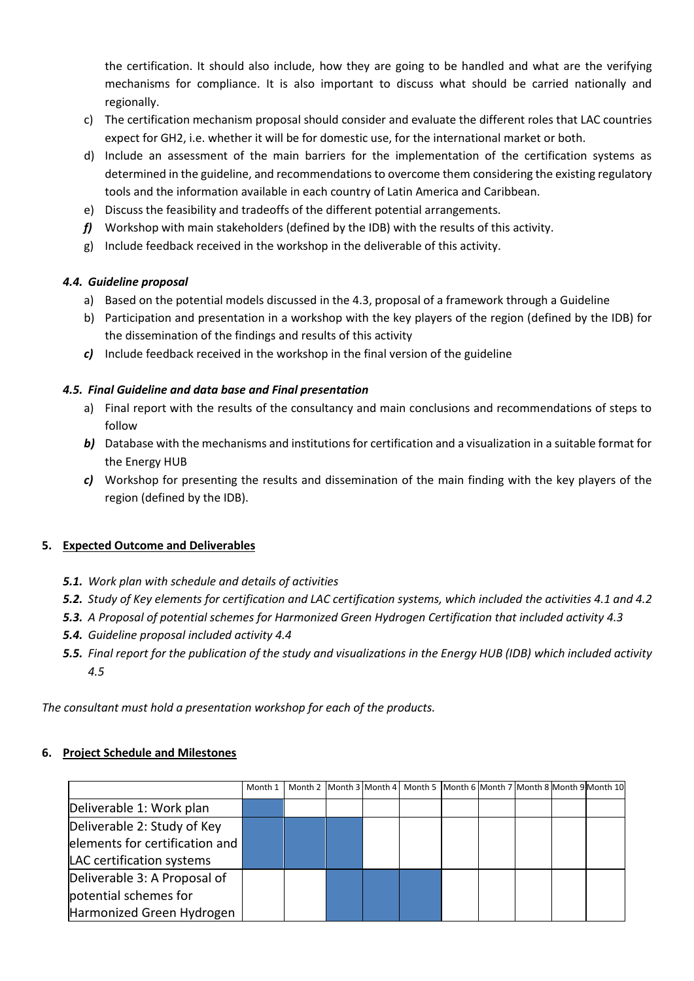the certification. It should also include, how they are going to be handled and what are the verifying mechanisms for compliance. It is also important to discuss what should be carried nationally and regionally.

- c) The certification mechanism proposal should consider and evaluate the different roles that LAC countries expect for GH2, i.e. whether it will be for domestic use, for the international market or both.
- d) Include an assessment of the main barriers for the implementation of the certification systems as determined in the guideline, and recommendations to overcome them considering the existing regulatory tools and the information available in each country of Latin America and Caribbean.
- e) Discuss the feasibility and tradeoffs of the different potential arrangements.
- *f)* Workshop with main stakeholders (defined by the IDB) with the results of this activity.
- g) Include feedback received in the workshop in the deliverable of this activity.

## *4.4. Guideline proposal*

- a) Based on the potential models discussed in the 4.3, proposal of a framework through a Guideline
- b) Participation and presentation in a workshop with the key players of the region (defined by the IDB) for the dissemination of the findings and results of this activity
- *c)* Include feedback received in the workshop in the final version of the guideline

# *4.5. Final Guideline and data base and Final presentation*

- a) Final report with the results of the consultancy and main conclusions and recommendations of steps to follow
- *b)* Database with the mechanisms and institutions for certification and a visualization in a suitable format for the Energy HUB
- *c)* Workshop for presenting the results and dissemination of the main finding with the key players of the region (defined by the IDB).

## **5. Expected Outcome and Deliverables**

- *5.1. Work plan with schedule and details of activities*
- *5.2. Study of Key elements for certification and LAC certification systems, which included the activities 4.1 and 4.2*
- *5.3. A Proposal of potential schemes for Harmonized Green Hydrogen Certification that included activity 4.3*
- *5.4. Guideline proposal included activity 4.4*
- *5.5. Final report for the publication of the study and visualizations in the Energy HUB (IDB) which included activity 4.5*

*The consultant must hold a presentation workshop for each of the products.*

## **6. Project Schedule and Milestones**

|                                | Month 1 |  | Month 2 Month 3 Month 4 Month 5 Month 6 Month 7 Month 8 Month 9 Month 10 |  |  |  |
|--------------------------------|---------|--|--------------------------------------------------------------------------|--|--|--|
| Deliverable 1: Work plan       |         |  |                                                                          |  |  |  |
| Deliverable 2: Study of Key    |         |  |                                                                          |  |  |  |
| elements for certification and |         |  |                                                                          |  |  |  |
| LAC certification systems      |         |  |                                                                          |  |  |  |
| Deliverable 3: A Proposal of   |         |  |                                                                          |  |  |  |
| potential schemes for          |         |  |                                                                          |  |  |  |
| Harmonized Green Hydrogen      |         |  |                                                                          |  |  |  |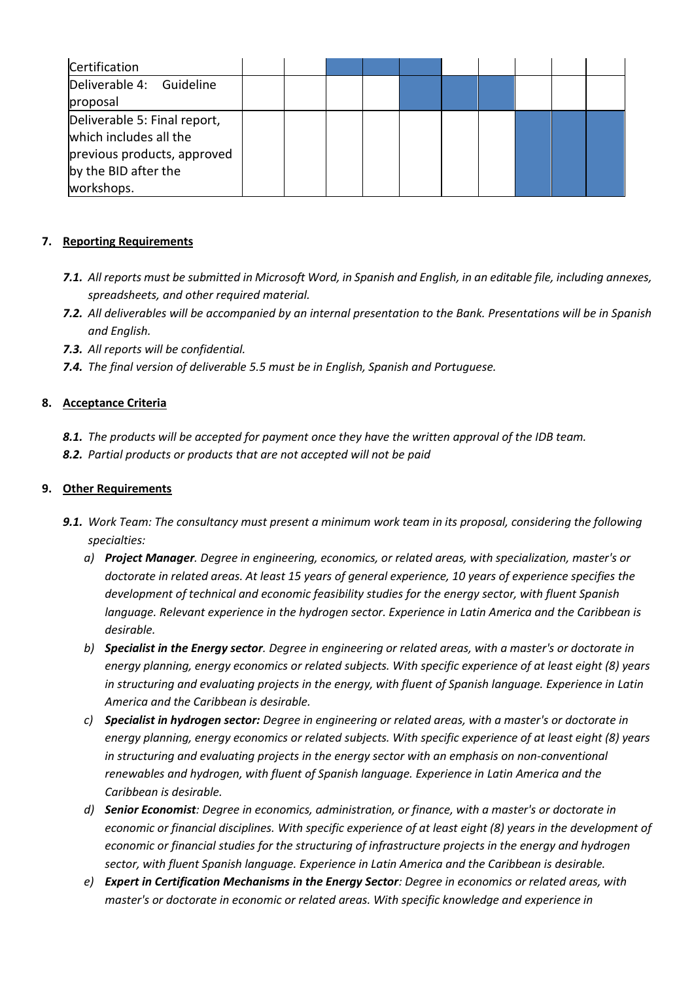| Certification                                                                                                               |  |  |  |  |  |
|-----------------------------------------------------------------------------------------------------------------------------|--|--|--|--|--|
| Deliverable 4: Guideline                                                                                                    |  |  |  |  |  |
| proposal                                                                                                                    |  |  |  |  |  |
| Deliverable 5: Final report,<br>which includes all the<br>previous products, approved<br>by the BID after the<br>workshops. |  |  |  |  |  |

## **7. Reporting Requirements**

- *7.1. All reports must be submitted in Microsoft Word, in Spanish and English, in an editable file, including annexes, spreadsheets, and other required material.*
- *7.2. All deliverables will be accompanied by an internal presentation to the Bank. Presentations will be in Spanish and English.*
- *7.3. All reports will be confidential.*
- *7.4. The final version of deliverable 5.5 must be in English, Spanish and Portuguese.*

# **8. Acceptance Criteria**

- *8.1. The products will be accepted for payment once they have the written approval of the IDB team.*
- *8.2. Partial products or products that are not accepted will not be paid*

## **9. Other Requirements**

- *9.1. Work Team: The consultancy must present a minimum work team in its proposal, considering the following specialties:*
	- *a) Project Manager. Degree in engineering, economics, or related areas, with specialization, master's or doctorate in related areas. At least 15 years of general experience, 10 years of experience specifies the development of technical and economic feasibility studies for the energy sector, with fluent Spanish language. Relevant experience in the hydrogen sector. Experience in Latin America and the Caribbean is desirable.*
	- *b) Specialist in the Energy sector. Degree in engineering or related areas, with a master's or doctorate in energy planning, energy economics or related subjects. With specific experience of at least eight (8) years in structuring and evaluating projects in the energy, with fluent of Spanish language. Experience in Latin America and the Caribbean is desirable.*
	- *c) Specialist in hydrogen sector: Degree in engineering or related areas, with a master's or doctorate in energy planning, energy economics or related subjects. With specific experience of at least eight (8) years in structuring and evaluating projects in the energy sector with an emphasis on non-conventional renewables and hydrogen, with fluent of Spanish language. Experience in Latin America and the Caribbean is desirable.*
	- *d) Senior Economist: Degree in economics, administration, or finance, with a master's or doctorate in economic or financial disciplines. With specific experience of at least eight (8) years in the development of economic or financial studies for the structuring of infrastructure projects in the energy and hydrogen sector, with fluent Spanish language. Experience in Latin America and the Caribbean is desirable.*
	- *e) Expert in Certification Mechanisms in the Energy Sector: Degree in economics or related areas, with master's or doctorate in economic or related areas. With specific knowledge and experience in*